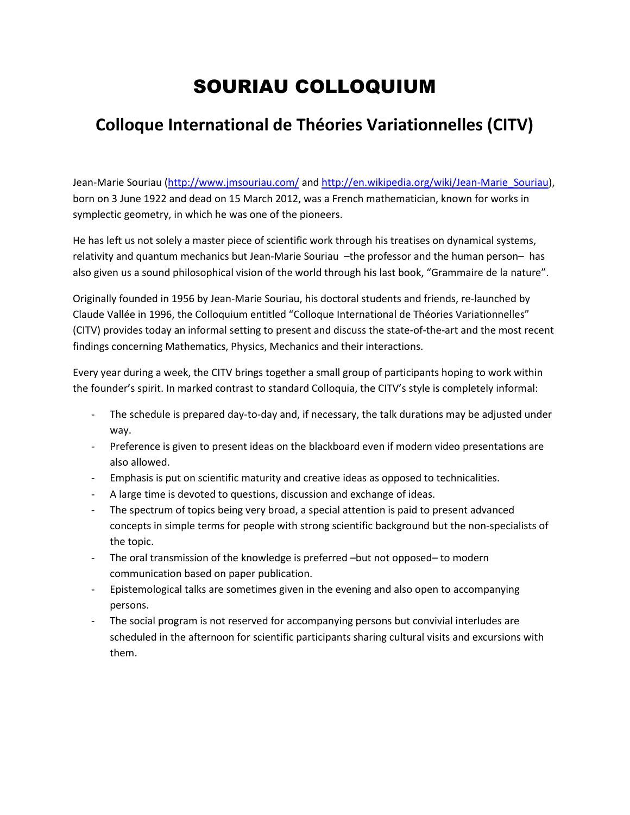## SOURIAU COLLOQUIUM

## **Colloque International de Théories Variationnelles (CITV)**

Jean-Marie Souriau [\(http://www.jmsouriau.com/](http://www.jmsouriau.com/) an[d http://en.wikipedia.org/wiki/Jean-Marie\\_Souriau\)](http://en.wikipedia.org/wiki/Jean-Marie_Souriau), born on 3 June 1922 and dead on 15 March 2012, was a [French](http://en.wikipedia.org/wiki/French_people) [mathematician,](http://en.wikipedia.org/wiki/Mathematician) known for works in [symplectic geometry,](http://en.wikipedia.org/wiki/Symplectic_geometry) in which he was one of the pioneers.

He has left us not solely a master piece of scientific work through his treatises on dynamical systems, relativity and quantum mechanics but Jean-Marie Souriau -the professor and the human person- has also given us a sound philosophical vision of the world through his last book, "Grammaire de la nature".

Originally founded in 1956 by Jean-Marie Souriau, his doctoral students and friends, re-launched by Claude Vallée in 1996, the Colloquium entitled "Colloque International de Théories Variationnelles" (CITV) provides today an informal setting to present and discuss the state-of-the-art and the most recent findings concerning Mathematics, Physics, Mechanics and their interactions.

Every year during a week, the CITV brings together a small group of participants hoping to work within the founder's spirit. In marked contrast to standard Colloquia, the CITV's style is completely informal:

- The schedule is prepared day-to-day and, if necessary, the talk durations may be adjusted under way.
- Preference is given to present ideas on the blackboard even if modern video presentations are also allowed.
- Emphasis is put on scientific maturity and creative ideas as opposed to technicalities.
- A large time is devoted to questions, discussion and exchange of ideas.
- The spectrum of topics being very broad, a special attention is paid to present advanced concepts in simple terms for people with strong scientific background but the non-specialists of the topic.
- The oral transmission of the knowledge is preferred –but not opposed– to modern communication based on paper publication.
- Epistemological talks are sometimes given in the evening and also open to accompanying persons.
- The social program is not reserved for accompanying persons but convivial interludes are scheduled in the afternoon for scientific participants sharing cultural visits and excursions with them.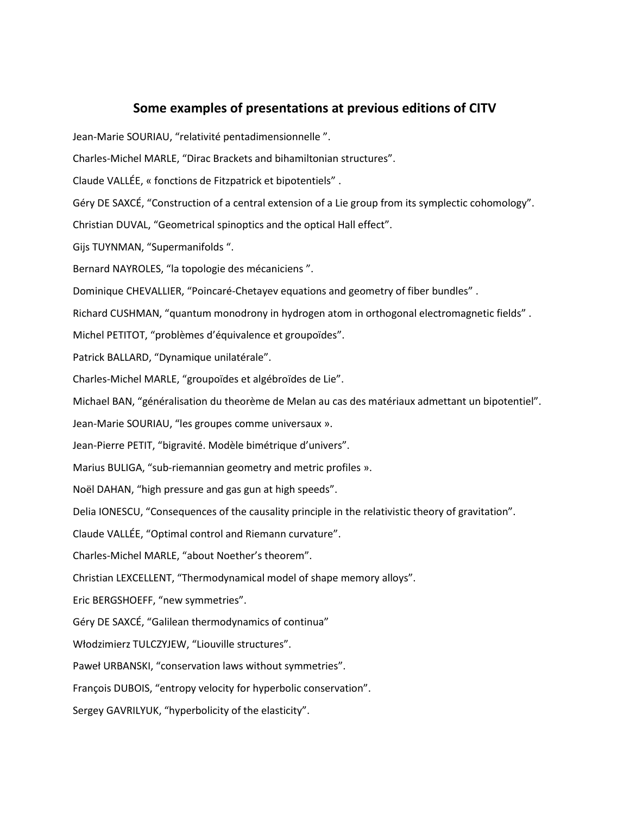## **Some examples of presentations at previous editions of CITV**

Jean-Marie SOURIAU, "relativité pentadimensionnelle ".

- Charles-Michel MARLE, "Dirac Brackets and bihamiltonian structures".
- Claude VALLÉE, « fonctions de Fitzpatrick et bipotentiels" .
- Géry DE SAXCÉ, "Construction of a central extension of a Lie group from its symplectic cohomology".
- Christian DUVAL, "Geometrical spinoptics and the optical Hall effect".
- Gijs TUYNMAN, "Supermanifolds ".
- Bernard NAYROLES, "la topologie des mécaniciens ".
- Dominique CHEVALLIER, "Poincaré-Chetayev equations and geometry of fiber bundles" .
- Richard CUSHMAN, "quantum monodrony in hydrogen atom in orthogonal electromagnetic fields" .
- Michel PETITOT, "problèmes d'équivalence et groupoïdes".
- Patrick BALLARD, "Dynamique unilatérale".
- Charles-Michel MARLE, "groupoïdes et algébroïdes de Lie".
- Michael BAN, "généralisation du theorème de Melan au cas des matériaux admettant un bipotentiel".
- Jean-Marie SOURIAU, "les groupes comme universaux ».
- Jean-Pierre PETIT, "bigravité. Modèle bimétrique d'univers".
- Marius BULIGA, "sub-riemannian geometry and metric profiles ».
- Noël DAHAN, "high pressure and gas gun at high speeds".
- Delia IONESCU, "Consequences of the causality principle in the relativistic theory of gravitation".
- Claude VALLÉE, "Optimal control and Riemann curvature".
- Charles-Michel MARLE, "about Noether's theorem".
- Christian LEXCELLENT, "Thermodynamical model of shape memory alloys".
- Eric BERGSHOEFF, "new symmetries".
- Géry DE SAXCÉ, "Galilean thermodynamics of continua"
- Włodzimierz TULCZYJEW, "Liouville structures".
- Paweł URBANSKI, "conservation laws without symmetries".
- François DUBOIS, "entropy velocity for hyperbolic conservation".
- Sergey GAVRILYUK, "hyperbolicity of the elasticity".